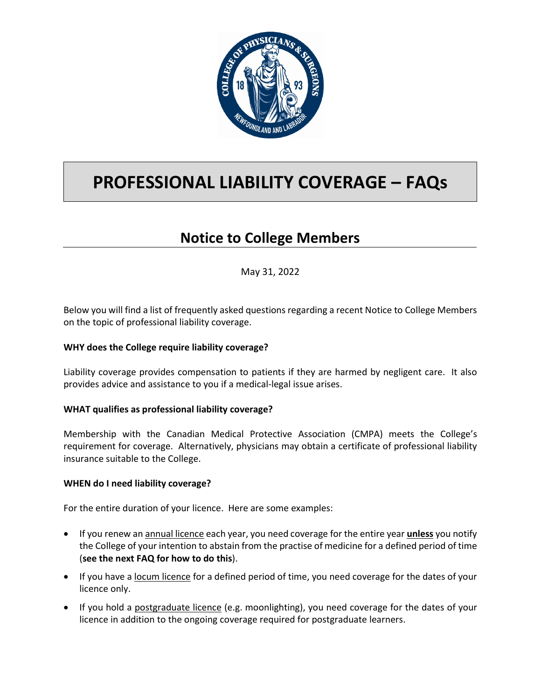

# **PROFESSIONAL LIABILITY COVERAGE – FAQs**

# **Notice to College Members**

May 31, 2022

Below you will find a list of frequently asked questions regarding a recent Notice to College Members on the topic of professional liability coverage.

## **WHY does the College require liability coverage?**

Liability coverage provides compensation to patients if they are harmed by negligent care. It also provides advice and assistance to you if a medical-legal issue arises.

#### **WHAT qualifies as professional liability coverage?**

Membership with the Canadian Medical Protective Association (CMPA) meets the College's requirement for coverage. Alternatively, physicians may obtain a certificate of professional liability insurance suitable to the College.

#### **WHEN do I need liability coverage?**

For the entire duration of your licence. Here are some examples:

- If you renew an annual licence each year, you need coverage for the entire year **unless** you notify the College of your intention to abstain from the practise of medicine for a defined period of time (**see the next FAQ for how to do this**).
- If you have a locum licence for a defined period of time, you need coverage for the dates of your licence only.
- If you hold a postgraduate licence (e.g. moonlighting), you need coverage for the dates of your licence in addition to the ongoing coverage required for postgraduate learners.